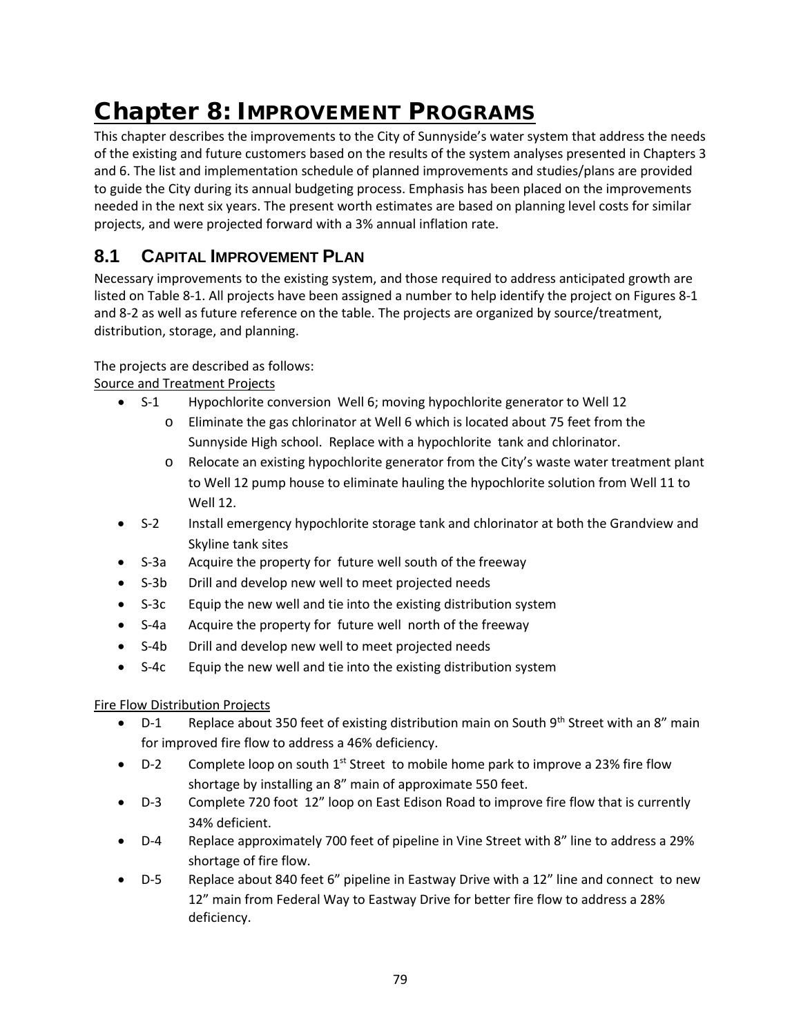# Chapter 8: IMPROVEMENT PROGRAMS

This chapter describes the improvements to the City of Sunnyside's water system that address the needs of the existing and future customers based on the results of the system analyses presented in Chapters 3 and 6. The list and implementation schedule of planned improvements and studies/plans are provided to guide the City during its annual budgeting process. Emphasis has been placed on the improvements needed in the next six years. The present worth estimates are based on planning level costs for similar projects, and were projected forward with a 3% annual inflation rate.

# **8.1 CAPITAL IMPROVEMENT PLAN**

Necessary improvements to the existing system, and those required to address anticipated growth are listed on Table 8-1. All projects have been assigned a number to help identify the project on Figures 8-1 and 8-2 as well as future reference on the table. The projects are organized by source/treatment, distribution, storage, and planning.

## The projects are described as follows:

Source and Treatment Projects

- S-1 Hypochlorite conversion Well 6; moving hypochlorite generator to Well 12
	- o Eliminate the gas chlorinator at Well 6 which is located about 75 feet from the Sunnyside High school. Replace with a hypochlorite tank and chlorinator.
		- o Relocate an existing hypochlorite generator from the City's waste water treatment plant to Well 12 pump house to eliminate hauling the hypochlorite solution from Well 11 to Well 12.
- S-2 Install emergency hypochlorite storage tank and chlorinator at both the Grandview and Skyline tank sites
- S-3a Acquire the property for future well south of the freeway
- S-3b Drill and develop new well to meet projected needs
- S-3c Equip the new well and tie into the existing distribution system
- S-4a Acquire the property for future well north of the freeway
- S-4b Drill and develop new well to meet projected needs
- S-4c Equip the new well and tie into the existing distribution system

### Fire Flow Distribution Projects

- D-1 Replace about 350 feet of existing distribution main on South  $9<sup>th</sup>$  Street with an 8" main for improved fire flow to address a 46% deficiency.
- D-2 Complete loop on south  $1<sup>st</sup>$  Street to mobile home park to improve a 23% fire flow shortage by installing an 8" main of approximate 550 feet.
- D-3 Complete 720 foot 12" loop on East Edison Road to improve fire flow that is currently 34% deficient.
- D-4 Replace approximately 700 feet of pipeline in Vine Street with 8" line to address a 29% shortage of fire flow.
- D-5 Replace about 840 feet 6" pipeline in Eastway Drive with a 12" line and connect to new 12" main from Federal Way to Eastway Drive for better fire flow to address a 28% deficiency.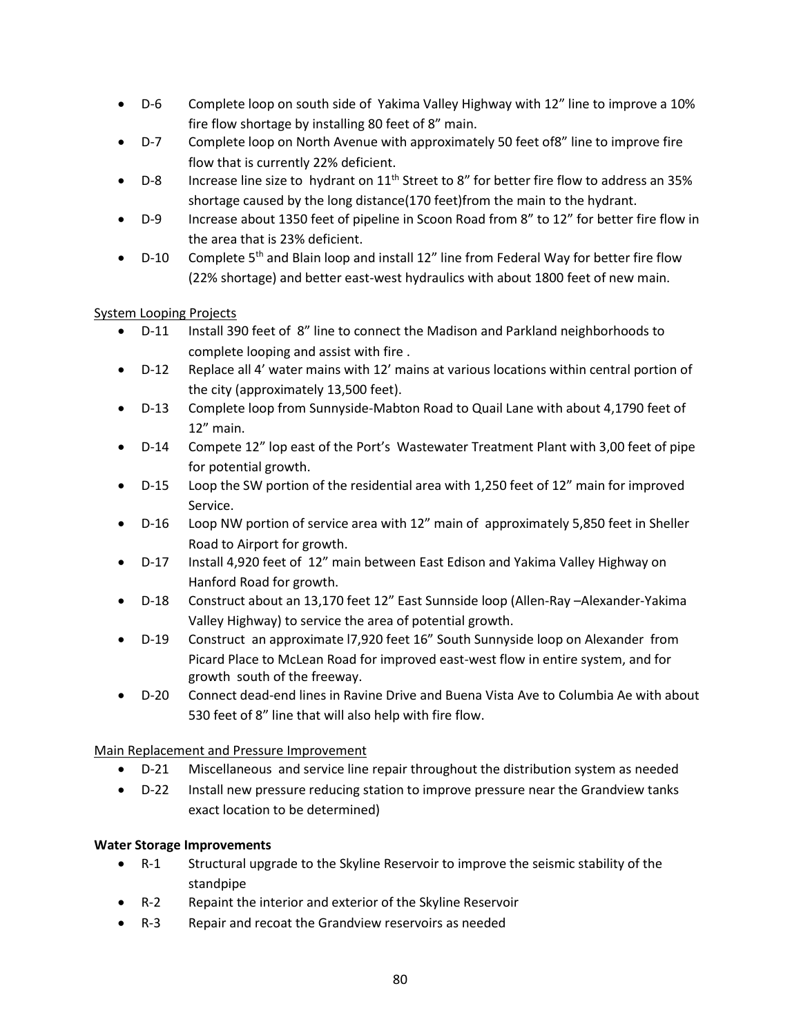- D-6 Complete loop on south side of Yakima Valley Highway with 12" line to improve a 10% fire flow shortage by installing 80 feet of 8" main.
- D-7 Complete loop on North Avenue with approximately 50 feet of8" line to improve fire flow that is currently 22% deficient.
- D-8 Increase line size to hydrant on  $11^{th}$  Street to 8" for better fire flow to address an 35% shortage caused by the long distance(170 feet)from the main to the hydrant.
- D-9 Increase about 1350 feet of pipeline in Scoon Road from 8" to 12" for better fire flow in the area that is 23% deficient.
- D-10 Complete 5<sup>th</sup> and Blain loop and install 12" line from Federal Way for better fire flow (22% shortage) and better east-west hydraulics with about 1800 feet of new main.

System Looping Projects

- D-11 Install 390 feet of 8" line to connect the Madison and Parkland neighborhoods to complete looping and assist with fire .
- D-12 Replace all 4' water mains with 12' mains at various locations within central portion of the city (approximately 13,500 feet).
- D-13 Complete loop from Sunnyside-Mabton Road to Quail Lane with about 4,1790 feet of 12" main.
- D-14 Compete 12" lop east of the Port's Wastewater Treatment Plant with 3,00 feet of pipe for potential growth.
- D-15 Loop the SW portion of the residential area with 1,250 feet of 12" main for improved Service.
- D-16 Loop NW portion of service area with 12" main of approximately 5,850 feet in Sheller Road to Airport for growth.
- D-17 Install 4,920 feet of 12" main between East Edison and Yakima Valley Highway on Hanford Road for growth.
- D-18 Construct about an 13,170 feet 12" East Sunnside loop (Allen-Ray –Alexander-Yakima Valley Highway) to service the area of potential growth.
- D-19 Construct an approximate l7,920 feet 16" South Sunnyside loop on Alexander from Picard Place to McLean Road for improved east-west flow in entire system, and for growth south of the freeway.
- D-20 Connect dead-end lines in Ravine Drive and Buena Vista Ave to Columbia Ae with about 530 feet of 8" line that will also help with fire flow.

Main Replacement and Pressure Improvement

- D-21 Miscellaneous and service line repair throughout the distribution system as needed
- D-22 Install new pressure reducing station to improve pressure near the Grandview tanks exact location to be determined)

## **Water Storage Improvements**

- R-1 Structural upgrade to the Skyline Reservoir to improve the seismic stability of the standpipe
- R-2 Repaint the interior and exterior of the Skyline Reservoir
- R-3 Repair and recoat the Grandview reservoirs as needed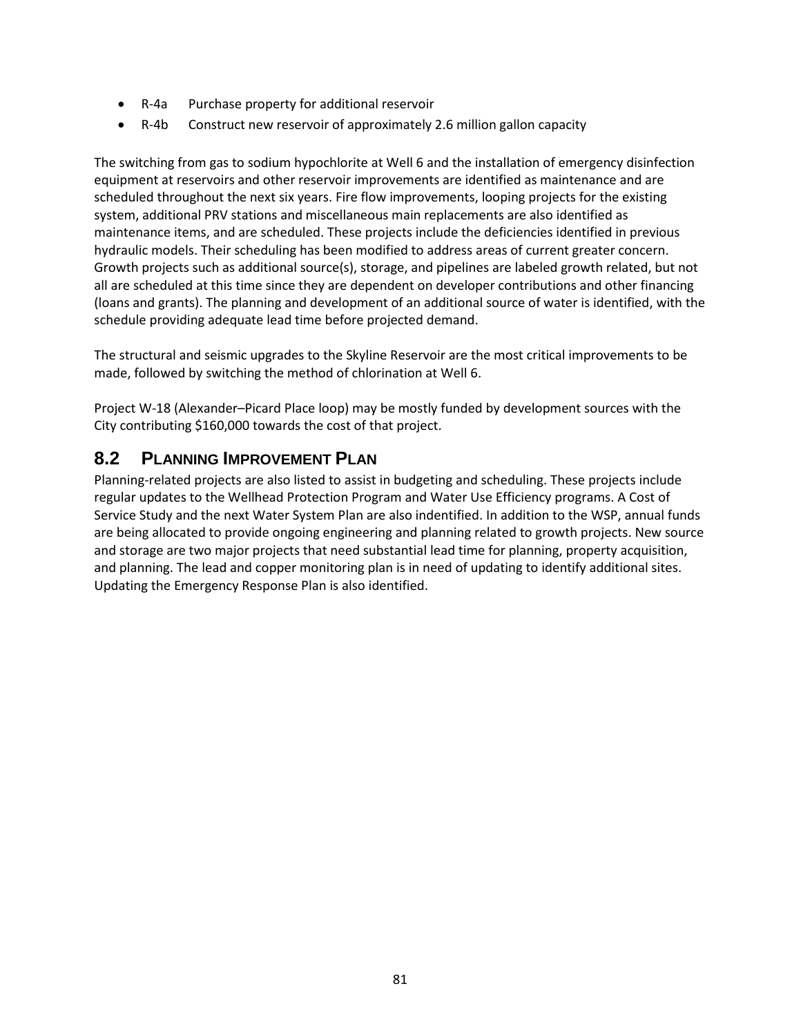- R-4a Purchase property for additional reservoir
- R-4b Construct new reservoir of approximately 2.6 million gallon capacity

The switching from gas to sodium hypochlorite at Well 6 and the installation of emergency disinfection equipment at reservoirs and other reservoir improvements are identified as maintenance and are scheduled throughout the next six years. Fire flow improvements, looping projects for the existing system, additional PRV stations and miscellaneous main replacements are also identified as maintenance items, and are scheduled. These projects include the deficiencies identified in previous hydraulic models. Their scheduling has been modified to address areas of current greater concern. Growth projects such as additional source(s), storage, and pipelines are labeled growth related, but not all are scheduled at this time since they are dependent on developer contributions and other financing (loans and grants). The planning and development of an additional source of water is identified, with the schedule providing adequate lead time before projected demand.

The structural and seismic upgrades to the Skyline Reservoir are the most critical improvements to be made, followed by switching the method of chlorination at Well 6.

Project W-18 (Alexander–Picard Place loop) may be mostly funded by development sources with the City contributing \$160,000 towards the cost of that project.

## **8.2 PLANNING IMPROVEMENT PLAN**

Planning-related projects are also listed to assist in budgeting and scheduling. These projects include regular updates to the Wellhead Protection Program and Water Use Efficiency programs. A Cost of Service Study and the next Water System Plan are also indentified. In addition to the WSP, annual funds are being allocated to provide ongoing engineering and planning related to growth projects. New source and storage are two major projects that need substantial lead time for planning, property acquisition, and planning. The lead and copper monitoring plan is in need of updating to identify additional sites. Updating the Emergency Response Plan is also identified.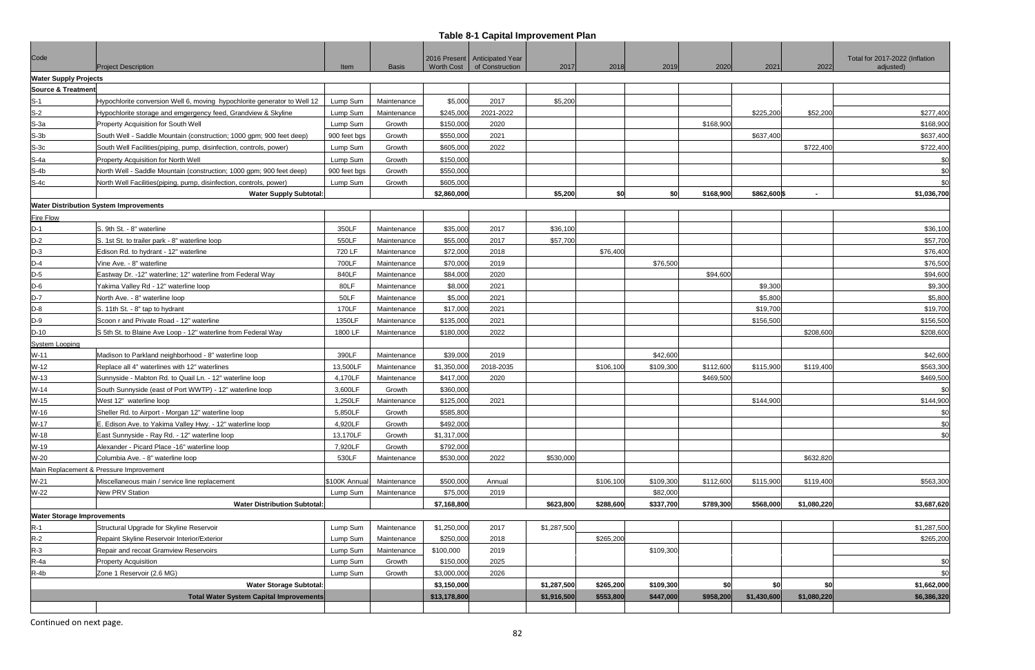# **Table 8-1 Capital Improvement Plan**

| Code                              | <b>Project Description</b>                                               | Item         | <b>Basis</b> | <b>Worth Cost</b> | 2016 Present   Anticipated Year<br>of Construction | 2017        | 2018      | 2019      | 2020      | 2021         | 2022                     | Total for 2017-2022 (Inflation<br>adjusted) |
|-----------------------------------|--------------------------------------------------------------------------|--------------|--------------|-------------------|----------------------------------------------------|-------------|-----------|-----------|-----------|--------------|--------------------------|---------------------------------------------|
| <b>Water Supply Projects</b>      |                                                                          |              |              |                   |                                                    |             |           |           |           |              |                          |                                             |
| <b>Source &amp; Treatment</b>     |                                                                          |              |              |                   |                                                    |             |           |           |           |              |                          |                                             |
| $S-1$                             | Hypochlorite conversion Well 6, moving hypochlorite generator to Well 12 | Lump Sum     | Maintenance  | \$5,000           | 2017                                               | \$5,200     |           |           |           |              |                          |                                             |
| $S-2$                             | Hypochlorite storage and emgergency feed, Grandview & Skyline            | Lump Sum     | Maintenance  | \$245,000         | 2021-2022                                          |             |           |           |           | \$225,200    | \$52,200                 | \$277,400                                   |
| $S-3a$                            | Property Acquisition for South Well                                      | Lump Sum     | Growth       | \$150,000         | 2020                                               |             |           |           | \$168,900 |              |                          | \$168,900                                   |
| $S-3b$                            | South Well - Saddle Mountain (construction; 1000 gpm; 900 feet deep)     | 900 feet bgs | Growth       | \$550,000         | 2021                                               |             |           |           |           | \$637,400    |                          | \$637,400                                   |
| $S-3c$                            | South Well Facilities (piping, pump, disinfection, controls, power)      | Lump Sum     | Growth       | \$605,000         | 2022                                               |             |           |           |           |              | \$722,400                | \$722,400                                   |
| $S-4a$                            | Property Acquisition for North Well                                      | Lump Sum     | Growth       | \$150,000         |                                                    |             |           |           |           |              |                          | \$0                                         |
| $S-4b$                            | North Well - Saddle Mountain (construction; 1000 gpm; 900 feet deep)     | 900 feet bgs | Growth       | \$550,000         |                                                    |             |           |           |           |              |                          | \$0                                         |
| $S-4c$                            | North Well Facilities(piping, pump, disinfection, controls, power)       | Lump Sum     | Growth       | \$605,000         |                                                    |             |           |           |           |              |                          | \$0                                         |
|                                   | <b>Water Supply Subtotal:</b>                                            |              |              | \$2,860,000       |                                                    | \$5,200     | \$0       | \$0       | \$168,900 | \$862,600 \$ | $\overline{\phantom{a}}$ | \$1,036,700                                 |
|                                   | <b>Water Distribution System Improvements</b>                            |              |              |                   |                                                    |             |           |           |           |              |                          |                                             |
| <b>Fire Flow</b>                  |                                                                          |              |              |                   |                                                    |             |           |           |           |              |                          |                                             |
| $D-1$                             | S. 9th St. - 8" waterline                                                | 350LF        | Maintenance  | \$35,000          | 2017                                               | \$36,100    |           |           |           |              |                          | \$36,100                                    |
| $D-2$                             | S. 1st St. to trailer park - 8" waterline loop                           | 550LF        | Maintenance  | \$55,000          | 2017                                               | \$57,700    |           |           |           |              |                          | \$57,700                                    |
| $D-3$                             | Edison Rd. to hydrant - 12" waterline                                    | 720 LF       | Maintenance  | \$72,000          | 2018                                               |             | \$76,400  |           |           |              |                          | \$76,400                                    |
| $D-4$                             | Vine Ave. - 8" waterline                                                 | 700LF        | Maintenance  | \$70,000          | 2019                                               |             |           | \$76,500  |           |              |                          | \$76,500                                    |
| $D-5$                             | Eastway Dr. -12" waterline; 12" waterline from Federal Way               | 840LF        | Maintenance  | \$84,000          | 2020                                               |             |           |           | \$94,600  |              |                          | \$94,600                                    |
| $D-6$                             | Yakima Valley Rd - 12" waterline loop                                    | 80LF         | Maintenance  | \$8,000           | 2021                                               |             |           |           |           | \$9,300      |                          | \$9,300                                     |
| $D-7$                             | North Ave. - 8" waterline loop                                           | 50LF         | Maintenance  | \$5,000           | 2021                                               |             |           |           |           | \$5,800      |                          | \$5,800                                     |
| $D-8$                             | S. 11th St. - 8" tap to hydrant                                          | 170LF        | Maintenance  | \$17,000          | 2021                                               |             |           |           |           | \$19,700     |                          | \$19,700                                    |
| $D-9$                             | Scoon r and Private Road - 12" waterline                                 | 1350LF       | Maintenance  | \$135,000         | 2021                                               |             |           |           |           | \$156,500    |                          | \$156,500                                   |
| $D-10$                            | S 5th St. to Blaine Ave Loop - 12" waterline from Federal Way            | 1800 LF      | Maintenance  | \$180,000         | 2022                                               |             |           |           |           |              | \$208,600                | \$208,600                                   |
| <b>System Looping</b>             |                                                                          |              |              |                   |                                                    |             |           |           |           |              |                          |                                             |
| $W-11$                            | Madison to Parkland neighborhood - 8" waterline loop                     | 390LF        | Maintenance  | \$39,000          | 2019                                               |             |           | \$42,600  |           |              |                          | \$42,600                                    |
| $W-12$                            | Replace all 4" waterlines with 12" waterlines                            | 13,500LF     | Maintenance  | \$1,350,000       | 2018-2035                                          |             | \$106,100 | \$109,300 | \$112,600 | \$115,900    | \$119,400                | \$563,300                                   |
| $W-13$                            | Sunnyside - Mabton Rd. to Quail Ln. - 12" waterline loop                 | 4,170LF      | Maintenance  | \$417,000         | 2020                                               |             |           |           | \$469,500 |              |                          | \$469,500                                   |
| $W-14$                            | South Sunnyside (east of Port WWTP) - 12" waterline loop                 | 3,600LF      | Growth       | \$360,000         |                                                    |             |           |           |           |              |                          | \$0                                         |
| $W-15$                            | West 12" waterline loop                                                  | 1,250LF      | Maintenance  | \$125,000         | 2021                                               |             |           |           |           | \$144,900    |                          | \$144,900                                   |
| W-16                              | Sheller Rd. to Airport - Morgan 12" waterline loop                       | 5,850LF      | Growth       | \$585,800         |                                                    |             |           |           |           |              |                          | \$0                                         |
| $W-17$                            | E. Edison Ave. to Yakima Valley Hwy. - 12" waterline loop                | 4,920LF      | Growth       | \$492,000         |                                                    |             |           |           |           |              |                          | \$0                                         |
| $W-18$                            | East Sunnyside - Ray Rd. - 12" waterline loop                            | 13,170LF     | Growth       | \$1,317,000       |                                                    |             |           |           |           |              |                          | \$0                                         |
| W-19                              | Alexander - Picard Place -16" waterline loop                             | 7,920LF      | Growth       | \$792,000         |                                                    |             |           |           |           |              |                          |                                             |
| $W-20$                            | Columbia Ave. - 8" waterline loop                                        | 530LF        | Maintenance  | \$530,000         | 2022                                               | \$530,000   |           |           |           |              | \$632,820                |                                             |
|                                   | Main Replacement & Pressure Improvement                                  |              |              |                   |                                                    |             |           |           |           |              |                          |                                             |
| $W-21$                            | Miscellaneous main / service line replacement                            | \$100K Annua | Maintenance  | \$500,000         | Annual                                             |             | \$106,100 | \$109,300 | \$112,600 | \$115,900    | \$119,400                | \$563,300                                   |
| W-22                              | New PRV Station                                                          | Lump Sum     | Maintenance  | \$75,000          | 2019                                               |             |           | \$82,000  |           |              |                          |                                             |
|                                   | <b>Water Distribution Subtotal:</b>                                      |              |              | \$7,168,800       |                                                    | \$623,800   | \$288,600 | \$337,700 | \$789,300 | \$568,000    | \$1,080,220              | \$3,687,620                                 |
| <b>Water Storage Improvements</b> |                                                                          |              |              |                   |                                                    |             |           |           |           |              |                          |                                             |
| $R-1$                             | Structural Upgrade for Skyline Reservoir                                 | Lump Sum     | Maintenance  | \$1,250,000       | 2017                                               | \$1,287,500 |           |           |           |              |                          | \$1,287,500                                 |
| $R-2$                             | Repaint Skyline Reservoir Interior/Exterior                              | Lump Sum     | Maintenance  | \$250,000         | 2018                                               |             | \$265,200 |           |           |              |                          | \$265,200                                   |
| $R-3$                             | Repair and recoat Gramview Reservoirs                                    | Lump Sum     | Maintenance  | \$100,000         | 2019                                               |             |           | \$109,300 |           |              |                          |                                             |
| $R-4a$                            | <b>Property Acquisition</b>                                              | Lump Sum     | Growth       | \$150,000         | 2025                                               |             |           |           |           |              |                          | \$0                                         |
| R-4b                              | Zone 1 Reservoir (2.6 MG)                                                | Lump Sum     | Growth       | \$3,000,000       | 2026                                               |             |           |           |           |              |                          | \$0                                         |
|                                   | <b>Water Storage Subtotal:</b>                                           |              |              | \$3,150,000       |                                                    | \$1,287,500 | \$265,200 | \$109,300 | \$0       | \$0          | \$0                      | \$1,662,000                                 |
|                                   | <b>Total Water System Capital Improvements</b>                           |              |              | \$13,178,800      |                                                    | \$1,916,500 | \$553,800 | \$447,000 | \$958,200 | \$1,430,600  | \$1,080,220              | \$6,386,320                                 |
|                                   |                                                                          |              |              |                   |                                                    |             |           |           |           |              |                          |                                             |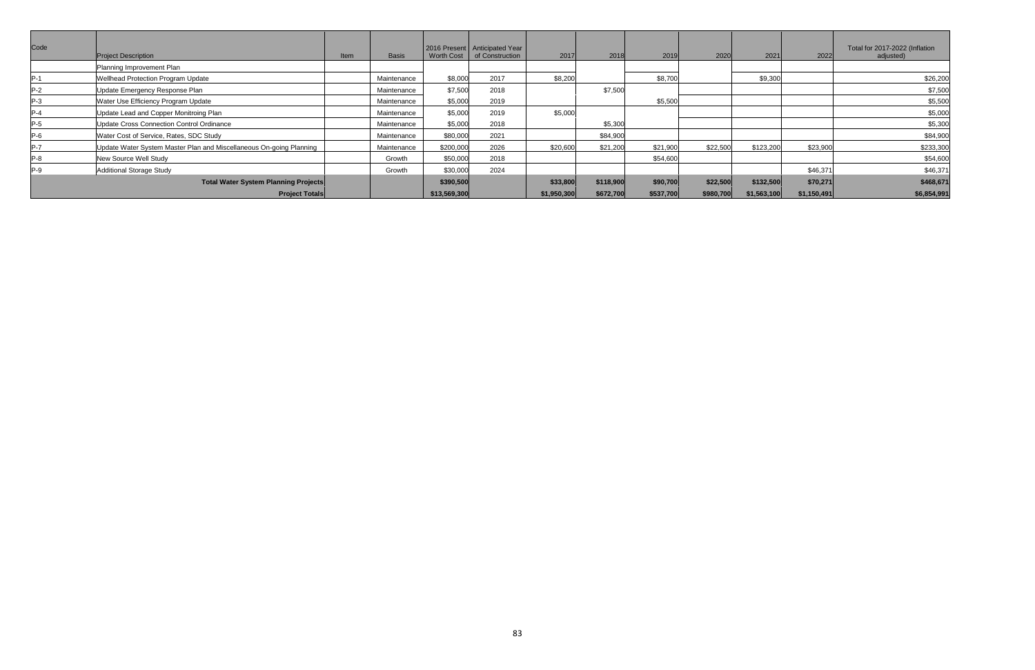| Code                                        | <b>Project Description</b>                                          | Item | <b>Basis</b> | <b>Worth Cost</b> | 2016 Present   Anticipated Year<br>of Construction | 2017        | 2018      | 2019      | 2020      | 2021        | 2022        | Total for 2017-2022 (Inflation<br>adjusted) |
|---------------------------------------------|---------------------------------------------------------------------|------|--------------|-------------------|----------------------------------------------------|-------------|-----------|-----------|-----------|-------------|-------------|---------------------------------------------|
|                                             | Planning Improvement Plan                                           |      |              |                   |                                                    |             |           |           |           |             |             |                                             |
| $P-1$                                       | Wellhead Protection Program Update                                  |      | Maintenance  | \$8,000           | 2017                                               | \$8,200     |           | \$8,700   |           | \$9,300     |             | \$26,200                                    |
| $P-2$                                       | Update Emergency Response Plan                                      |      | Maintenance  | \$7,500           | 2018                                               |             | \$7,500   |           |           |             |             | \$7,500                                     |
| $P-3$                                       | Water Use Efficiency Program Update                                 |      | Maintenance  | \$5,000           | 2019                                               |             |           | \$5,500   |           |             |             | \$5,500                                     |
| $P-4$                                       | Update Lead and Copper Monitroing Plan                              |      | Maintenance  | \$5,000           | 2019                                               | \$5,000     |           |           |           |             |             | \$5,000                                     |
| $P-5$                                       | Update Cross Connection Control Ordinance                           |      | Maintenance  | \$5,000           | 2018                                               |             | \$5,300   |           |           |             |             | \$5,300                                     |
| $P-6$                                       | Water Cost of Service, Rates, SDC Study                             |      | Maintenance  | \$80,000          | 2021                                               |             | \$84,900  |           |           |             |             | \$84,900                                    |
| $P-7$                                       | Update Water System Master Plan and Miscellaneous On-going Planning |      | Maintenance  | \$200,000         | 2026                                               | \$20,600    | \$21,200  | \$21,900  | \$22,500  | \$123,200   | \$23,900    | \$233,300                                   |
| $P-8$                                       | New Source Well Study                                               |      | Growth       | \$50,000          | 2018                                               |             |           | \$54,600  |           |             |             | \$54,600                                    |
| $P-9$                                       | <b>Additional Storage Study</b>                                     |      | Growth       | \$30,000          | 2024                                               |             |           |           |           |             | \$46,371    | \$46,371                                    |
| <b>Total Water System Planning Projects</b> |                                                                     |      |              | \$390,500         |                                                    | \$33,800    | \$118,900 | \$90,700  | \$22,500  | \$132,500   | \$70,271    | \$468,671                                   |
| <b>Project Totals</b>                       |                                                                     |      |              | \$13,569,300      |                                                    | \$1,950,300 | \$672,700 | \$537,700 | \$980,700 | \$1,563,100 | \$1,150,491 | \$6,854,991                                 |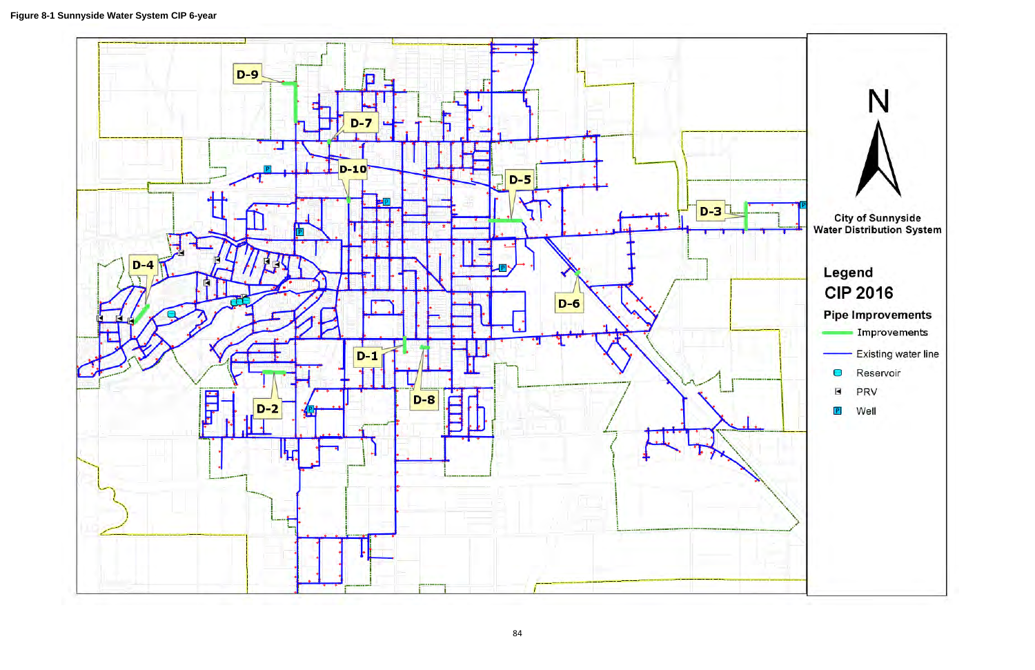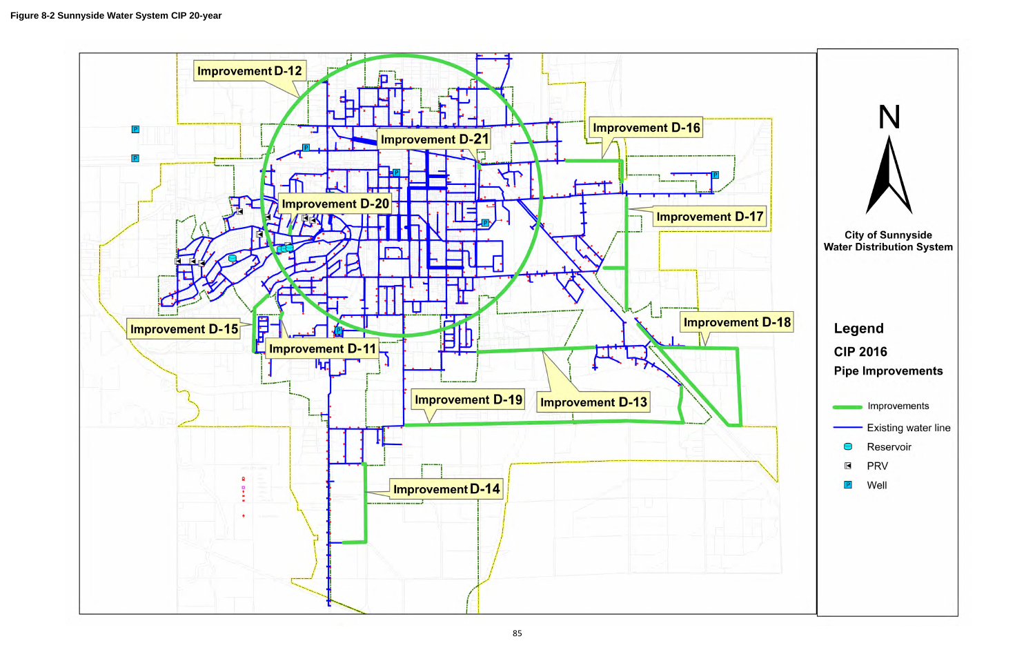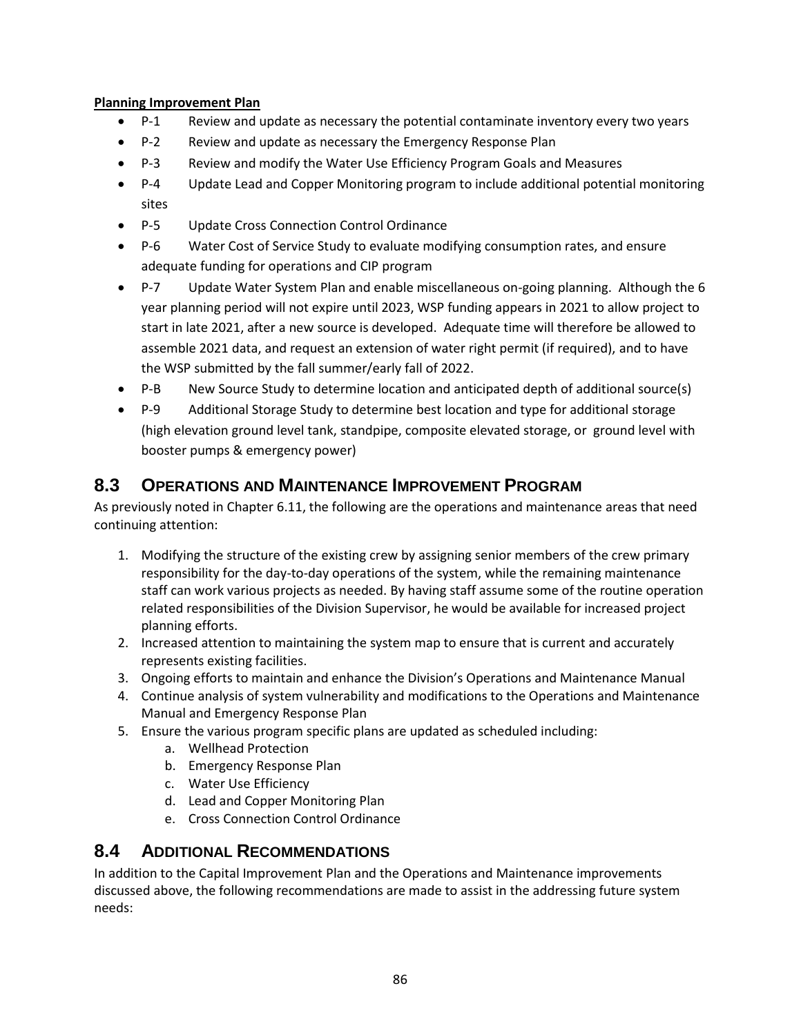### **Planning Improvement Plan**

- P-1 Review and update as necessary the potential contaminate inventory every two years
- P-2 Review and update as necessary the Emergency Response Plan
- P-3 Review and modify the Water Use Efficiency Program Goals and Measures
- P-4 Update Lead and Copper Monitoring program to include additional potential monitoring sites
- P-5 Update Cross Connection Control Ordinance
- P-6 Water Cost of Service Study to evaluate modifying consumption rates, and ensure adequate funding for operations and CIP program
- P-7 Update Water System Plan and enable miscellaneous on-going planning. Although the 6 year planning period will not expire until 2023, WSP funding appears in 2021 to allow project to start in late 2021, after a new source is developed. Adequate time will therefore be allowed to assemble 2021 data, and request an extension of water right permit (if required), and to have the WSP submitted by the fall summer/early fall of 2022.
- P-B New Source Study to determine location and anticipated depth of additional source(s)
- P-9 Additional Storage Study to determine best location and type for additional storage (high elevation ground level tank, standpipe, composite elevated storage, or ground level with booster pumps & emergency power)

# **8.3 OPERATIONS AND MAINTENANCE IMPROVEMENT PROGRAM**

As previously noted in Chapter 6.11, the following are the operations and maintenance areas that need continuing attention:

- 1. Modifying the structure of the existing crew by assigning senior members of the crew primary responsibility for the day-to-day operations of the system, while the remaining maintenance staff can work various projects as needed. By having staff assume some of the routine operation related responsibilities of the Division Supervisor, he would be available for increased project planning efforts.
- 2. Increased attention to maintaining the system map to ensure that is current and accurately represents existing facilities.
- 3. Ongoing efforts to maintain and enhance the Division's Operations and Maintenance Manual
- 4. Continue analysis of system vulnerability and modifications to the Operations and Maintenance Manual and Emergency Response Plan
- 5. Ensure the various program specific plans are updated as scheduled including:
	- a. Wellhead Protection
	- b. Emergency Response Plan
	- c. Water Use Efficiency
	- d. Lead and Copper Monitoring Plan
	- e. Cross Connection Control Ordinance

# **8.4 ADDITIONAL RECOMMENDATIONS**

In addition to the Capital Improvement Plan and the Operations and Maintenance improvements discussed above, the following recommendations are made to assist in the addressing future system needs: